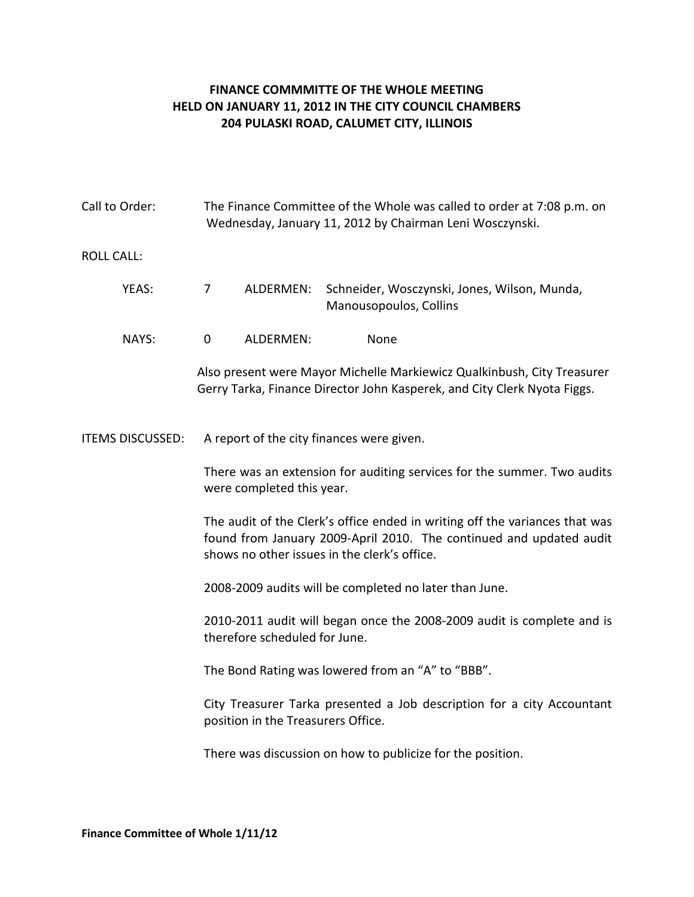## **FINANCE COMMMITTE OF THE WHOLE MEETING HELD ON JANUARY 11, 2012 IN THE CITY COUNCIL CHAMBERS 204 PULASKI ROAD, CALUMET CITY, ILLINOIS**

| Call to Order:          | The Finance Committee of the Whole was called to order at 7:08 p.m. on<br>Wednesday, January 11, 2012 by Chairman Leni Wosczynski.                                                                 |
|-------------------------|----------------------------------------------------------------------------------------------------------------------------------------------------------------------------------------------------|
| <b>ROLL CALL:</b>       |                                                                                                                                                                                                    |
| YEAS:                   | ALDERMEN:<br>Schneider, Wosczynski, Jones, Wilson, Munda,<br>7<br>Manousopoulos, Collins                                                                                                           |
| NAYS:                   | $\mathbf 0$<br>ALDERMEN:<br>None                                                                                                                                                                   |
|                         | Also present were Mayor Michelle Markiewicz Qualkinbush, City Treasurer<br>Gerry Tarka, Finance Director John Kasperek, and City Clerk Nyota Figgs.                                                |
| <b>ITEMS DISCUSSED:</b> | A report of the city finances were given.                                                                                                                                                          |
|                         | There was an extension for auditing services for the summer. Two audits<br>were completed this year.                                                                                               |
|                         | The audit of the Clerk's office ended in writing off the variances that was<br>found from January 2009-April 2010. The continued and updated audit<br>shows no other issues in the clerk's office. |
|                         | 2008-2009 audits will be completed no later than June.                                                                                                                                             |
|                         | 2010-2011 audit will began once the 2008-2009 audit is complete and is<br>therefore scheduled for June.                                                                                            |
|                         | The Bond Rating was lowered from an "A" to "BBB".                                                                                                                                                  |
|                         | City Treasurer Tarka presented a Job description for a city Accountant<br>position in the Treasurers Office.                                                                                       |
|                         | There was discussion on how to publicize for the position.                                                                                                                                         |